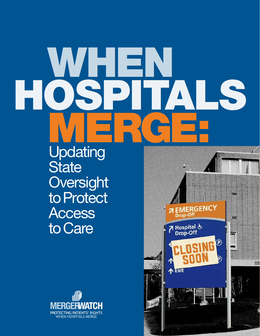# WHEIR HOSPITALS MERGE.

Updating **State Oversight** to Protect **Access** to Care



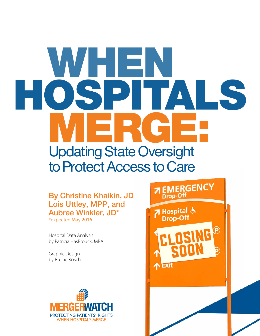# WHEN<br>OSDIT HOSPI MERGE: Updating State Oversight to Protect Access to Care

By Christine Khaikin, JD Lois Uttley, MPP, and Aubree Winkler, JD\* \*expected May 2016

Hospital Data Analysis by Patricia HasBrouck, MBA

Graphic Design by Brucie Rosch



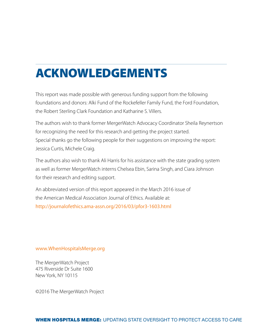# ACKNOWLEDGEMENTS

This report was made possible with generous funding support from the following foundations and donors: Alki Fund of the Rockefeller Family Fund, the Ford Foundation, the Robert Sterling Clark Foundation and Katharine S. Villers.

The authors wish to thank former MergerWatch Advocacy Coordinator Sheila Reynertson for recognizing the need for this research and getting the project started. Special thanks go the following people for their suggestions on improving the report: Jessica Curtis, Michele Craig.

The authors also wish to thank Ali Harris for his assistance with the state grading system as well as former MergerWatch interns Chelsea Ebin, Sarina Singh, and Ciara Johnson for their research and editing support.

An abbreviated version of this report appeared in the March 2016 issue of the American Medical Association Journal of Ethics. Available at: <http://journalofethics.ama-assn.org/2016/03/pfor3-1603.html>

#### www.WhenHospitalsMerge.org

The MergerWatch Project 475 Riverside Dr Suite 1600 New York, NY 10115

©2016 The MergerWatch Project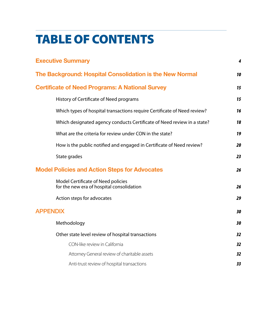# TABLE OF CONTENTS

| <b>Executive Summary</b>                                                        | 4  |
|---------------------------------------------------------------------------------|----|
| The Background: Hospital Consolidation is the New Normal                        | 10 |
| <b>Certificate of Need Programs: A National Survey</b>                          | 15 |
| History of Certificate of Need programs                                         | 15 |
| Which types of hospital transactions require Certificate of Need review?        | 16 |
| Which designated agency conducts Certificate of Need review in a state?         | 18 |
| What are the criteria for review under CON in the state?                        | 19 |
| How is the public notified and engaged in Certificate of Need review?           | 20 |
| State grades                                                                    | 23 |
| <b>Model Policies and Action Steps for Advocates</b>                            | 26 |
| Model Certificate of Need policies<br>for the new era of hospital consolidation | 26 |
| Action steps for advocates                                                      | 29 |
| <b>APPENDIX</b>                                                                 | 30 |
| Methodology                                                                     | 30 |
| Other state level review of hospital transactions                               | 32 |
| CON-like review in California                                                   | 32 |
| Attorney General review of charitable assets                                    | 32 |
| Anti-trust review of hospital transactions                                      | 33 |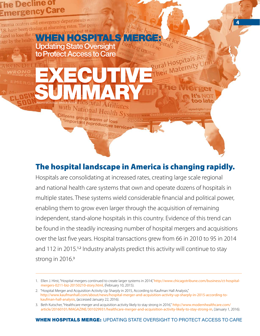## <span id="page-4-0"></span>**1e Decline of** ergency Care

tage by the health

Trauma centers and emergency departments acro rauma centers and emergency departured.<br>J.S. have been closing at alarming rates. The people WHEN HOSPITALS MERGE:

## Updating State Oversight to Protect Access to Care

**With National Health Sys** 

"important reproductive services"

SUMMARY

Citizens group warns of loss

EXECUTIVE

The hospital landscape in America is changing rapidly.

**4** 

ral Hospitals Are ural Hospitals Aunits

too lat

mymedrights@

Hospitals are consolidating at increased rates, creating large scale regional and national health care systems that own and operate dozens of hospitals in multiple states. These systems wield considerable financial and political power, enabling them to grow even larger through the acquisition of remaining independent, stand-alone hospitals in this country. Evidence of this trend can be found in the steadily increasing number of hospital mergers and acquisitions over the last five years. Hospital transactions grew from 66 in 2010 to 95 in 2014 and 112 in 2015.<sup>1,2</sup> Industry analysts predict this activity will continue to stay strong in 2016.<sup>3</sup>

<sup>1.</sup> Ellen J. Hirst, "Hospital mergers continued to create larger systems in 2014," [http://www.chicagotribune.com/business/ct-hospital](http://www.chicagotribune.com/business/ct-hospital-mergers-0211-biz-20150210-story.html)[mergers-0211-biz-20150210-story.html](http://www.chicagotribune.com/business/ct-hospital-mergers-0211-biz-20150210-story.html), (February 10, 2015).

<sup>2. &</sup>quot;Hospital Merger and Acquisition Activity Up Sharply in 2015, According to Kaufman Hall Analysis," [http://www.kaufmanhall.com/about/news/hospital-](http://www.kaufmanhall.com/about/news/hospital-merger-and-acquisition-activity-up-sharply-in-2015-according-to-kaufman-hall-analysis)merger-and-acquisition-activity-up-sharply-in-2015-according-tokaufman-hall-analysis, (accessed January 22, 2016).

<sup>3.</sup> Beth Kutscher, "Healthcare merger and acquisition activity likely to stay strong in 2016," [http://www.modernhealthcare.com/](http://www.modernhealthcare.com/article/20160101/MAGAZINE/301029931/healthcare-merger-and-acquisition-activity-likely-to-stay-strong-in) [article/20160101/MAGAZINE/301029931/healthcare-merger-and-acquisition-activity-likely-to-stay-strong-in](http://www.modernhealthcare.com/article/20160101/MAGAZINE/301029931/healthcare-merger-and-acquisition-activity-likely-to-stay-strong-in), (January 1, 2016).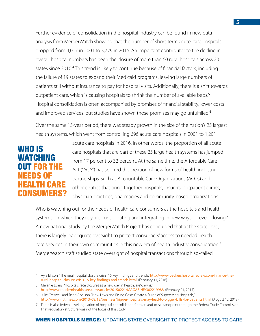Further evidence of consolidation in the hospital industry can be found in new data analysis from MergerWatch showing that the number of short-term acute-care hospitals dropped from 4,017 in 2001 to 3,779 in 2016. An important contributor to the decline in overall hospital numbers has been the closure of more than 60 rural hospitals across 20 states since 2010.<sup>4</sup> This trend is likely to continue because of financial factors, including the failure of 19 states to expand their Medicaid programs, leaving large numbers of patients still without insurance to pay for hospital visits. Additionally, there is a shift towards outpatient care, which is causing hospitals to shrink the number of available beds.<sup>5</sup> Hospital consolidation is often accompanied by promises of financial stability, lower costs and improved services, but studies have shown those promises may go unfulfilled.<sup>6</sup>

Over the same 15-year period, there was steady growth in the size of the nation's 25 largest health systems, which went from controlling 696 acute care hospitals in 2001 to 1,201

## WHO IS WATCHING OUT FOR THE NEEDS OF EALTH CARE CONSUMERS?

acute care hospitals in 2016. In other words, the proportion of all acute care hospitals that are part of these 25 large health systems has jumped from 17 percent to 32 percent. At the same time, the Affordable Care Act ("ACA") has spurred the creation of new forms of health industry partnerships, such as Accountable Care Organizations (ACOs) and other entities that bring together hospitals, insurers, outpatient clinics, physician practices, pharmacies and community-based organizations.

Who is watching out for the needs of health care consumers as the hospitals and health systems on which they rely are consolidating and integrating in new ways, or even closing? A new national study by the MergerWatch Project has concluded that at the state level, there is largely inadequate oversight to protect consumers' access to needed health care services in their own communities in this new era of health industry consolidation.<sup>7</sup> MergerWatch staff studied state oversight of hospital transactions through so-called

<sup>4.</sup> Ayla Ellison, "The rural hospital closure crisis: 15 key findings and trends," [http://www.beckershospitalreview.com/finance/the](http://www.beckershospitalreview.com/finance/the-rural-hospital-closure-crisis-15-key-findings-and-trends.html)[rural-hospital-closure-crisis-15-key-findings-and-trends.html](http://www.beckershospitalreview.com/finance/the-rural-hospital-closure-crisis-15-key-findings-and-trends.html), (February 11, 2016).

<sup>5.</sup> Melanie Evans, "Hospitals face closures as 'a new day in healthcare' dawns," <http://www.modernhealthcare.com/article/20150221/MAGAZINE/302219988>, (February 21, 2015).

<sup>6.</sup> Julie Creswell and Reed Abelson, "New Laws and Rising Costs Create a Surge of Supersizing Hospitals," <http://www.nytimes.com/2013/08/13/business/bigger-hospitals-may-lead-to-bigger-bills-for-patients.html>, (August 12, 2013).

<sup>7.</sup> There is also federal-level regulation of hospital consolidation from an anti-trust standpoint through the Federal Trade Commission. That regulatory structure was not the focus of this study.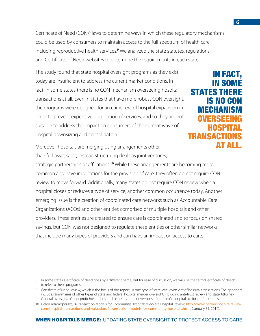Certificate of Need (CON)<sup>8</sup> laws to determine ways in which these regulatory mechanisms could be used by consumers to maintain access to the full spectrum of health care, including reproductive health services.<sup>9</sup> We analyzed the state statutes, regulations and Certificate of Need websites to determine the requirements in each state.

The study found that state hospital oversight programs as they exist today are insufficient to address the current market conditions. In fact, in some states there is no CON mechanism overseeing hospital transactions at all. Even in states that have more robust CON oversight, the programs were designed for an earlier era of hospital expansion in order to prevent expensive duplication of services, and so they are not suitable to address the impact on consumers of the current wave of hospital downsizing and consolidation.

IN FACT, IN SOME STATES THERE IS NO CON MECHANISM OVERSEEING HOSPIT **TRANSACTIO** AT ALL.

Moreover, hospitals are merging using arrangements other than full-asset sales, instead structuring deals as joint ventures,

strategic partnerships or affiliations.<sup>10</sup> While these arrangements are becoming more common and have implications for the provision of care, they often do not require CON review to move forward. Additionally, many states do not require CON review when a hospital closes or reduces a type of service, another common occurrence today. Another emerging issue is the creation of coordinated care networks such as Accountable Care Organizations (ACOs) and other entities comprised of multiple hospitals and other providers. These entities are created to ensure care is coordinated and to focus on shared savings, but CON was not designed to regulate these entities or other similar networks that include many types of providers and can have an impact on access to care.

<sup>8.</sup> In some states, Certificate of Need goes by a different name, but for ease of discussion, we will use the term "Certificate of Need" to refer to these programs.

<sup>9.</sup> Certificate of Need review, which is the focus of this report, is one type of state level oversight of hospital transactions. The appendix includes summaries of other types of state and federal hospital merger oversight, including anti-trust review and state Attorney General oversight of non-profit hospital charitable assets and conversions of non-profit hospitals to for-profit entitites.

<sup>10.</sup> Helen Adamopoulos, "4 Transaction Models for Community Hospitals," Becker's Hospital Review, [http://www.beckershospitalreview.](http://www.beckershospitalreview.com/hospital-transactions-and-valuation/4-transaction-models-for-community-hospitals.html) [com/hospital-transactions-and-valuation/4-transaction-models-for-community-hospitals.html](http://www.beckershospitalreview.com/hospital-transactions-and-valuation/4-transaction-models-for-community-hospitals.html), (January 31, 2014).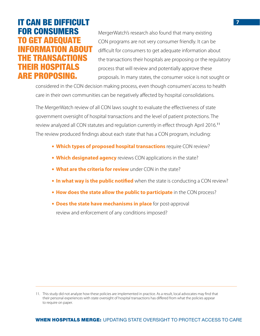## IT CAN BE DIFFICULT FOR CONSUMERS TO GET ADEQUATE MATION AROIIT E TRANSACTIONS **HEIR HOSPITALS** ARE PROPOSING.

MergerWatch's research also found that many existing CON programs are not very consumer friendly. It can be difficult for consumers to get adequate information about the transactions their hospitals are proposing or the regulatory process that will review and potentially approve these proposals. In many states, the consumer voice is not sought or

considered in the CON decision making process, even though consumers' access to health care in their own communities can be negatively affected by hospital consolidations.

The MergerWatch review of all CON laws sought to evaluate the effectiveness of state government oversight of hospital transactions and the level of patient protections. The review analyzed all CON statutes and regulation currently in effect through April 2016.<sup>11</sup> The review produced findings about each state that has a CON program, including:

- **Which types of proposed hospital transactions** require CON review?
- **Which designated agency** reviews CON applications in the state?
- **What are the criteria for review** under CON in the state?
- **In what way is the public notified** when the state is conducting a CON review?
- **How does the state allow the public to participate** in the CON process?
- **Does the state have mechanisms in place** for post-approval review and enforcement of any conditions imposed?

<sup>11.</sup> This study did not analyze how these policies are implemented in practice. As a result, local advocates may find that their personal experiences with state oversight of hospital transactions has differed from what the policies appear to require on paper.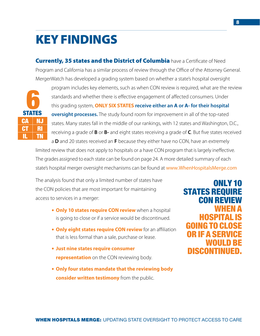## KEY FINDINGS

**Currently, 35 states and the District of Columbia** have a Certificate of Need Program and California has a similar process of review through the Office of the Attorney General. MergerWatch has developed a grading system based on whether a state's hospital oversight



program includes key elements, such as when CON review is required, what are the review standards and whether there is effective engagement of affected consumers. Under this grading system, **ONLY SIX STATES receive either an A or A- for their hospital oversight processes.** The study found room for improvement in all of the top-rated states. Many states fall in the middle of our rankings, with 12 states and Washington, D.C., receiving a grade of **B** or **B-** and eight states receiving a grade of **C**. But five states received

a **D** and 20 states received an **F** because they either have no CON, have an extremely limited review that does not apply to hospitals or a have CON program that is largely ineffective. The grades assigned to each state can be found on page 24. A more detailed summary of each state's hospital merger oversight mechanisms can be found at [www.WhenHospitalsMerge.com](http://www.WhenHospitalsMerge.com)

The analysis found that only a limited number of states have the CON policies that are most important for maintaining access to services in a merger:

- **Only 10 states require CON review** when a hospital is going to close or if a service would be discontinued.
- **Only eight states require CON review** for an affiliation that is less formal than a sale, purchase or lease.
- **Just nine states require consumer representation** on the CON reviewing body.
- **Only four states mandate that the reviewing body consider written testimony** from the public.

ONLY 10 STATES REQUIRE **CON REVIE** WHEN A HOSPITAL GOING TO CL OR IF A SERVICE WOULD BE **DISCONTIN**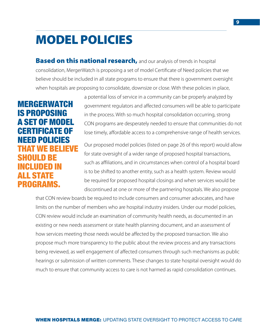## MODEL POLICIES

**Based on this national research, and our analysis of trends in hospital** consolidation, MergerWatch is proposing a set of model Certificate of Need policies that we believe should be included in all state programs to ensure that there is government oversight when hospitals are proposing to consolidate, downsize or close. With these policies in place,

MERGERWATCH IS PROPOSING A SET OF MODEL CERTIFICATE OF NEED POLICIES THAT WE BELIEVE SHOULD BE INCLUDED IN ALL STATE PROGRAMS.

a potential loss of service in a community can be properly analyzed by government regulators and affected consumers will be able to participate in the process. With so much hospital consolidation occurring, strong CON programs are desperately needed to ensure that communities do not lose timely, affordable access to a comprehensive range of health services.

Our proposed model policies (listed on page 26 of this report) would allow for state oversight of a wider range of proposed hospital transactions, such as affiliations, and in circumstances when control of a hospital board is to be shifted to another entity, such as a health system. Review would be required for proposed hospital closings and when services would be discontinued at one or more of the partnering hospitals. We also propose

that CON review boards be required to include consumers and consumer advocates, and have limits on the number of members who are hospital industry insiders. Under our model policies, CON review would include an examination of community health needs, as documented in an existing or new needs assessment or state health planning document, and an assessment of how services meeting those needs would be affected by the proposed transaction. We also propose much more transparency to the public about the review process and any transactions being reviewed, as well engagement of affected consumers through such mechanisms as public hearings or submission of written comments. These changes to state hospital oversight would do much to ensure that community access to care is not harmed as rapid consolidation continues.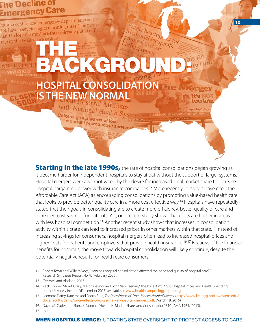## <span id="page-10-0"></span>he Decline of Emergency Care

Trauma centers and emergency departments across rauma centers and emergency departure.<br>J.S. have been closing at alarming rates. The peop tage by the health

# ablic hearings et f THE R BACKGROUND:

# **HOSPITAL CONSOLIDATION IS THE NEW NORMAL**

with National Health Sys mymedrights@ Citizens group warns of loss "important reproductive services"

et for

too lat

**10** 

**Starting in the late 1990s, the rate of hospital consolidations began growing as** it became harder for independent hospitals to stay afloat without the support of larger systems. Hospital mergers were also motivated by the desire for increased local market share to increase hospital bargaining power with insurance companies.<sup>12</sup> More recently, hospitals have cited the Affordable Care Act (ACA) as encouraging consolidations by promoting value-based health care that looks to provide better quality care in a more cost effective way.<sup>13</sup> Hospitals have repeatedly stated that their goals in consolidating are to create more efficiency, better quality of care and increased cost savings for patients. Yet, one recent study shows that costs are higher in areas with less hospital competition.<sup>14</sup> Another recent study shows that increases in consolidation activity within a state can lead to increased prices in other markets within that state.<sup>15</sup> Instead of increasing savings for consumers, hospital mergers often lead to increased hospital prices and higher costs for patients and employers that provide health insurance.<sup>16,17</sup> Because of the financial benefits for hospitals, the move towards hospital consolidation will likely continue, despite the potentially negative results for health care consumers.

17. Ibid.

<sup>12.</sup> Robert Town and William Vogt, "How has hospital consolidation affected the price and quality of hospital care?" Research Synthesis Report No. 9, (February 2006).

<sup>13.</sup> Creswell and Abelson, 2013

<sup>14.</sup> Zack Cooper, Stuart Craig, Martin Gaynor and John Van Reenan, "The Price Ain't Right: Hospital Prices and Health Spending on the Privately Insured" (December 2015) available at: [www.healthcarepricingproject.org](http://www.healthcarepricingproject.org)

<sup>15.</sup> Leemore Dafny, Kate Ho and Robin S. Le, *The Price Effects of Cross-Market Hospital Mergers* [http://www.kellogg.northwestern.edu/](http://www.kellogg.northwestern.edu/docs/faculty/dafny/price-effects-of-cross-market-hospital-mergers.pdf) [docs/faculty/dafny/price-effects-of-cross-market-hospital-mergers.pdf](http://www.kellogg.northwestern.edu/docs/faculty/dafny/price-effects-of-cross-market-hospital-mergers.pdf), (March 18, 2016)

<sup>16.</sup> David M. Cutler and Fiona S. Morton, "Hospitals, Market Share, and Consolidation" 310 JAMA 1964, (2013).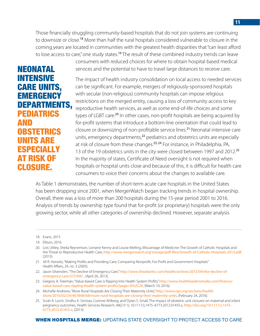Those financially struggling community-based hospitals that do not join systems are continuing to downsize or close.<sup>18</sup> More than half the rural hospitals considered vulnerable to closure in the coming years are located in communities with the greatest health disparities that "can least afford to lose access to care," one study states.<sup>19</sup> The result of these combined industry trends can leave

NEONATAL INTENSIVE CARE UNITS, **EMERGENCY** DEPARTMENTS, PEDIATRICS AND OBSTETRICS UNITS ARE SPECIALLY AT RISK OF CLOSURE.

consumers with reduced choices for where to obtain hospital based medical services and the potential to have to travel large distances to receive care.

The impact of health industry consolidation on local access to needed services can be significant. For example, mergers of religiously-sponsored hospitals with secular (non-religious) community hospitals can impose religious restrictions on the merged entity, causing a loss of community access to key reproductive health services, as well as some end-of-life choices and some types of LGBT care.<sup>20</sup> In other cases, non-profit hospitals are being acquired by for-profit systems that introduce a bottom-line orientation that could lead to closure or downsizing of non-profitable service lines.<sup>21</sup> Neonatal intensive care units, emergency departments,<sup>22</sup> pediatrics and obstetrics units are especially at risk of closure from these changes.<sup>23, 24</sup> For instance, in Philadelphia, PA, 13 of the 19 obstetrics units in the city were closed between 1997 and 2012.<sup>25</sup> In the majority of states, Certificate of Need oversight is not required when hospitals or hospital units close and because of this, it is difficult for health care consumers to voice their concerns about the changes to available care.

As Table 1 demonstrates, the number of short-term acute care hospitals in the United States has been dropping since 2001, when MergerWatch began tracking trends in hospital ownership. Overall, there was a loss of more than 200 hospitals during the 15-year period 2001 to 2016. Analysis of trends by ownership type found that for-profit (or proprietary) hospitals were the only growing sector, while all other categories of ownership declined. However, separate analysis

- 21. Jill R. Horwitz, "Making Profits and Providing Care; Comparing Nonprofit, For-Profit and Government Hospitals" Health Affairs, 24, no. 3 (2005).
- 22. Jason Silverstien, "The Decline of Emergency Care," [http://www.theatlantic.com/health/archive/2013/04/the-decline-of](http://www.theatlantic.com/health/archive/2013/04/the-decline-of-emergency-care/275306/)[emergency-care/275306/](http://www.theatlantic.com/health/archive/2013/04/the-decline-of-emergency-care/275306/) , (April 26, 2013).
- 23. Gregory A. Freeman, "Value-based Care is Ripping Into Health System Profits," [http://www.healthleadersmedia.com/finance/](http://www.healthleadersmedia.com/finance/value-based-care-ripping-health-system-profits?page=0%2C2#) [value-based-care-ripping-health-system-profits?page=0%2C2#](http://www.healthleadersmedia.com/finance/value-based-care-ripping-health-system-profits?page=0%2C2#), (March 10, 2016).
- 24. Michelle Andrews, "More Rural Hospitals Are Closing Their Maternity Units," [http://www.npr.org/sections/health](http://www.npr.org/sections/health-shots/2016/02/24/467848568/more-rural-hospitals-are-closing-their-maternity-units)[shots/2016/02/24/467848568/more-rural-hospitals-are-closing-their-maternity-units](http://www.npr.org/sections/health-shots/2016/02/24/467848568/more-rural-hospitals-are-closing-their-maternity-units), (February 24, 2016).
- 25. Scott A. Lorch, Sindhu K. Srinivas, Corinne Ahlberg, and Dylan S. Small, The impact of obstetric unit closures on maternal and infant pregnancy outcomes, Health Services Research, 48(2 0 1), 10.1111/j.1475–6773.2012.01455.x, [http://doi.org/10.1111/j.1475-](http://doi.org/10.1111/j.1475-6773.2012.01455.x) [6773.2012.01455.x](http://doi.org/10.1111/j.1475-6773.2012.01455.x), (2013).

<sup>18.</sup> Evans, 2015

<sup>19.</sup> Ellison, 2016

<sup>20.</sup> Lois Uttley, Sheila Reynertson, Lorraine Kenny and Louise Melling, Miscarriage of Medicine: The Growth of Catholic Hospitals and the Threat to Reproductive Health Care, <http://www.mergerwatch.org/storage/pdf-files/Growth-of-Catholic-Hospitals-2013.pdf>, (2013).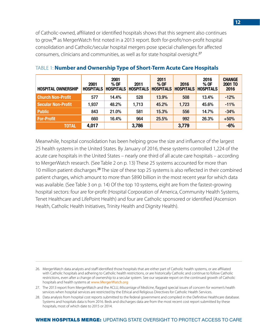of Catholic-owned, affiliated or identified hospitals shows that this segment also continues to grow,<sup>26</sup> as MergerWatch first noted in a 2013 report. Both for-profit/non-profit hospital consolidation and Catholic/secular hospital mergers pose special challenges for affected consumers, clinicians and communities, as well as for state hospital oversight.<sup>27</sup>

| <b>HOSPITAL OWNERSHIP</b> | 2001<br><b>HOSPITALS</b> | 2001<br>% OF<br><b>HOSPITALS</b> | 2011<br><b>HOSPITALS</b> | 2011<br>% OF | 2016<br><b>HOSPITALS HOSPITALS</b> | 2016<br>% OF<br><b>HOSPITALS</b> | <b>CHANGE</b><br>2001 TO<br>2016 |
|---------------------------|--------------------------|----------------------------------|--------------------------|--------------|------------------------------------|----------------------------------|----------------------------------|
| <b>Church Non-Profit</b>  | 577                      | 14.4%                            | 528                      | 13.9%        | 508                                | 13.4%                            | $-12%$                           |
| <b>Secular Non-Profit</b> | 1,937                    | 48.2%                            | 1,713                    | 45.2%        | 1,723                              | 45.6%                            | $-11%$                           |
| <b>Public</b>             | 843                      | 21.0%                            | 581                      | 15.3%        | 556                                | 14.7%                            | $-34%$                           |
| <b>For-Profit</b>         | 660                      | 16.4%                            | 964                      | 25.5%        | 992                                | 26.3%                            | $+50%$                           |
| <b>TOTAL</b>              | 4,017                    |                                  | 3,786                    |              | 3,779                              |                                  | $-6%$                            |

#### TABLE 1: **Number and Ownership Type of Short-Term Acute Care Hospitals**

Meanwhile, hospital consolidation has been helping grow the size and influence of the largest 25 health systems in the United States. By January of 2016, these systems controlled 1,224 of the acute care hospitals in the United States – nearly one third of all acute care hospitals – according to MergerWatch research. (See Table 2 on p. 13) These 25 systems accounted for more than 10 million patient discharges.<sup>28</sup> The size of these top 25 systems is also reflected in their combined patient charges, which amount to more than \$890 billion in the most recent year for which data was available. (See Table 3 on p. 14) Of the top 10 systems, eight are from the fastest-growing hospital sectors: four are for-profit (Hospital Corporation of America, Community Health Systems, Tenet Healthcare and LifePoint Health) and four are Catholic sponsored or identified (Ascension Health, Catholic Health Initiatives, Trinity Health and Dignity Health).

<sup>26.</sup> MergerWatch data analysts and staff identified those hospitals that are either part of Catholic health systems, or are affiliated with Catholic hospitals and adhering to Catholic health restrictions, or are historically Catholic and continue to follow Catholic restrictions, even after a change of ownership to a secular system. See our separate report on the continued growth of Catholic hospitals and health systems at [www.MergerWatch.org](http://www.MergerWatch.org)

<sup>27.</sup> The 2013 report from MergerWatch and the ACLU, *Miscarriage of Medicine*, flagged special issues of concern for women's health services when hospital services are restricted by the Ethical and Religious Directives for Catholic Health Services.

<sup>28.</sup> Data analysis from hospital cost reports submitted to the federal government and compiled in the Definitive Healthcare database. Systems and hospitals data is from 2016. Beds and discharges data are from the most recent cost report submitted by these hospitals, most of which date to 2015 or 2014.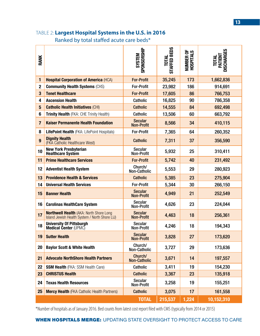#### TABLE 2: **Largest Hospital Systems in the U.S. in 2016**

Ranked by total staffed acute care beds\*

| <b>RANK</b>             |                                                                                                   | SPONSORSHIP<br>SYSTEM               | <b>STAFFED BEDS</b><br>TOTAL | <b>NUMBER OF<br/>HOSPITALS</b> | <b>DISCHARGES</b><br>PATIENT<br>TOTAL |
|-------------------------|---------------------------------------------------------------------------------------------------|-------------------------------------|------------------------------|--------------------------------|---------------------------------------|
| $\mathbf{1}$            | <b>Hospital Corporation of America (HCA)</b>                                                      | <b>For-Profit</b>                   | 35,245                       | 173                            | 1,662,836                             |
| $\mathbf{2}$            | <b>Community Health Systems (CHS)</b>                                                             | <b>For-Profit</b>                   | 23,982                       | 186                            | 914,691                               |
| $\overline{\mathbf{3}}$ | <b>Tenet Healthcare</b>                                                                           | <b>For-Profit</b>                   | 17,605                       | 86                             | 766,753                               |
| 4                       | <b>Ascension Health</b>                                                                           | <b>Catholic</b>                     | 16,825                       | 90                             | 786,358                               |
| $5\phantom{.}$          | <b>Catholic Health Initiatives (CHI)</b>                                                          | <b>Catholic</b>                     | 14,555                       | 84                             | 692,498                               |
| 6                       | Trinity Health (FKA: CHE Trinity Health)                                                          | <b>Catholic</b>                     | 13,506                       | 60                             | 663,792                               |
| $\overline{7}$          | <b>Kaiser Permanente Health Foundation</b>                                                        | <b>Secular</b><br><b>Non-Profit</b> | 8,566                        | 34                             | 410,115                               |
| 8                       | <b>LifePoint Health (FKA: LifePoint Hospitals)</b>                                                | <b>For-Profit</b>                   | 7,365                        | 64                             | 260,352                               |
| 9                       | <b>Dignity Health</b><br>(FKA Catholic Healthcare West)                                           | <b>Catholic</b>                     | 7,311                        | 37                             | 356,590                               |
| 10                      | <b>New York Presbyterian</b><br><b>Healthcare System</b>                                          | <b>Secular</b><br><b>Non-Profit</b> | 5,932                        | 25                             | 310,411                               |
| 11                      | <b>Prime Healthcare Services</b>                                                                  | <b>For-Profit</b>                   | 5,742                        | 40                             | 231,492                               |
| 12                      | <b>Adventist Health System</b>                                                                    | Church/<br>Non-Catholic             | 5,553                        | 29                             | 280,923                               |
| 13                      | <b>Providence Health &amp; Services</b>                                                           | <b>Catholic</b>                     | 5,385                        | 23                             | 275,904                               |
| 14                      | <b>Universal Health Services</b>                                                                  | <b>For-Profit</b>                   | 5,344                        | 30                             | 266,150                               |
| 15                      | <b>Banner Health</b>                                                                              | <b>Secular</b><br><b>Non-Profit</b> | 4,949                        | 21                             | 252,549                               |
| 16                      | <b>Carolinas HealthCare System</b>                                                                | <b>Secular</b><br><b>Non-Profit</b> | 4,626                        | 23                             | 224,044                               |
| 17                      | <b>Northwell Health (AKA: North Shore Long)</b><br>Island Jewish Health System / North Shore LIJ) | <b>Secular</b><br><b>Non-Profit</b> | 4,463                        | 18                             | 256,361                               |
| 18                      | <b>University Of Pittsburgh</b><br>Medical Center (UPMC)                                          | <b>Secular</b><br><b>Non-Profit</b> | 4,246                        | 18                             | 194,343                               |
| 19                      | <b>Sutter Health</b>                                                                              | <b>Secular</b><br><b>Non-Profit</b> | 3,828                        | 27                             | 173,620                               |
| 20                      | <b>Baylor Scott &amp; White Health</b>                                                            | Church/<br>Non-Catholic             | 3,727                        | 29                             | 173,636                               |
| 21                      | <b>Advocate NorthShore Health Partners</b>                                                        | Church/<br><b>Non-Catholic</b>      | 3,671                        | 14                             | 197,557                               |
| 22                      | <b>SSM Health (FKA: SSM Health Care)</b>                                                          | <b>Catholic</b>                     | 3,411                        | 19                             | 154,230                               |
| 23                      | <b>CHRISTUS Health</b>                                                                            | <b>Catholic</b>                     | 3,367                        | 23                             | 135,918                               |
| 24                      | <b>Texas Health Resources</b>                                                                     | Secular<br>Non-Profit               | 3,258                        | 19                             | 155,251                               |
| 25                      | <b>Mercy Health (FKA Catholic Health Partners)</b>                                                | <b>Catholic</b>                     | 3,075                        | 17                             | 161,558                               |
|                         |                                                                                                   | <b>TOTAL</b>                        | 215,537                      | 1,224                          | 10,152,310                            |

\*Number of hospitals as of January 2016. Bed counts from latest cost report filed with CMS (typically from 2014 or 2015)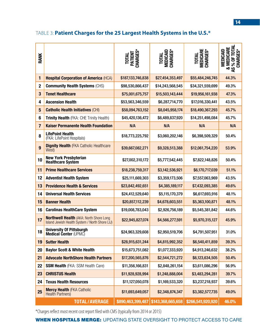## TABLE 3: **Patient Charges for the 25 Largest Health Systems in the U.S.\***

| <b>RANK</b>     |                                                                                                   | TOTAL<br>PATIENT<br>CHARGES* | <b>TOTAL<br/>MEDICAID<br/>CHARGES*</b> | <b>TOTAL<br/>MEDICARE<br/>CHARGES*</b> | & MEDICARE<br>AS % OF TOTAL<br>CHARGES*<br>MEDICAID |
|-----------------|---------------------------------------------------------------------------------------------------|------------------------------|----------------------------------------|----------------------------------------|-----------------------------------------------------|
| 1               | <b>Hospital Corporation of America (HCA)</b>                                                      | \$187,133,746,838            | \$27,454,353,497                       | \$55,484,246,745                       | 44.3%                                               |
| $\mathbf 2$     | <b>Community Health Systems (CHS)</b>                                                             | \$98,530,866,437             | \$14,243,568,545                       | \$34,321,559,699                       | 49.3%                                               |
| 3               | <b>Tenet Healthcare</b>                                                                           | \$75,001,675,757             | \$15,503,143,444                       | \$19,956,161,938                       | 47.3%                                               |
| 4               | <b>Ascension Health</b>                                                                           | \$53,563,346,559             | \$6,287,714,770                        | \$17,016,330,441                       | 43.5%                                               |
| $5\phantom{.0}$ | <b>Catholic Health Initiatives (CHI)</b>                                                          | \$58,094,763,152             | \$8,045,958,174                        | \$18,490,367,293                       | 45.7%                                               |
| 6               | Trinity Health (FKA: CHE Trinity Health)                                                          | \$45,420,136,472             | \$6,489,837,920                        | \$14,251,498,084                       | 45.7%                                               |
| 7               | <b>Kaiser Permanente Health Foundation</b>                                                        | N/A                          | N/A                                    | N/A                                    | N/A                                                 |
| 8               | <b>LifePoint Health</b><br>(FKA: LifePoint Hospitals)                                             | \$18,773,225,792             | \$3,060,202,146                        | \$6,398,509,329                        | 50.4%                                               |
| 9               | <b>Dignity Health (FKA Catholic Healthcare</b><br>West)                                           | \$39,667,082,271             | \$9,328,513,388                        | \$12,061,754,220                       | 53.9%                                               |
| 10              | <b>New York Presbyterian</b><br><b>Healthcare System</b>                                          | \$27,002,310,172             | \$5,777,542,445                        | \$7,822,148,826                        | 50.4%                                               |
| 11              | <b>Prime Healthcare Services</b>                                                                  | \$18,238,759,317             | \$3,142,536,921                        | \$6,170,717,039                        | 51.1%                                               |
| 12              | <b>Adventist Health System</b>                                                                    | \$25,111,669,303             | \$3,359,173,506                        | \$7,557,063,969                        | 43.5%                                               |
| 13              | <b>Providence Health &amp; Services</b>                                                           | \$23,842,492,651             | \$4,385,189,117                        | \$7,432,093,385                        | 49.6%                                               |
| 14              | <b>Universal Health Services</b>                                                                  | \$24,412,529,640             | \$5,115,170,379                        | \$6,617,693,916                        | 48.1%                                               |
| 15              | <b>Banner Health</b>                                                                              | \$20,857,112,239             | \$4,678,603,551                        | \$5,363,100,871                        | 48.1%                                               |
| 16              | <b>Carolinas HealthCare System</b>                                                                | \$19,008,783,043             | \$2,926,756,189                        | \$5,545,381,842                        | 44.6%                                               |
| 17              | <b>Northwell Health (AKA: North Shore Long)</b><br>Island Jewish Health System / North Shore LIJ) | \$22,945,827,074             | \$4,566,277,591                        | \$5,970,315,127                        | 45.9%                                               |
| 18              | <b>University Of Pittsburgh</b><br><b>Medical Center (UPMC)</b>                                   | \$24,963,329,608             | \$2,950,519,706                        | \$4,791,507,951                        | 31.0%                                               |
| 19              | <b>Sutter Health</b>                                                                              | \$28,915,631,244             | \$4,815,992,352                        | \$6,540,411,859                        | 39.3%                                               |
| 20              | <b>Baylor Scott &amp; White Health</b>                                                            | \$15,673,751,082             | \$1,077,333,920                        | \$4,913,246,632                        | 38.2%                                               |
| 21              | <b>Advocate NorthShore Health Partners</b>                                                        | \$17,200,565,876             | \$2,544,721,272                        | \$6,123,634,505                        | 50.4%                                               |
| 22              | <b>SSM Health (FKA: SSM Health Care)</b>                                                          | \$11,356,166,831             | \$2,848,261,154                        | \$3,611,086,296                        | 56.9%                                               |
| 23              | <b>CHRISTUS Health</b>                                                                            | \$11,928,928,994             | \$1,248,888,004                        | \$3,483,294,281                        | 39.7%                                               |
| 24              | <b>Texas Health Resources</b>                                                                     | \$11,127,050,078             | \$1,169,533,320                        | \$3,237,218,937                        | 39.6%                                               |
| 25              | <b>Mercy Health (FKA Catholic</b><br>Health Partners)                                             | \$11,693,649,057             | \$2,348,874,347                        | \$3,382,577,735                        | 49.0%                                               |
|                 | <b>TOTAL/AVERAGE</b>                                                                              | \$890,463,399,487            | \$143,368,665,658                      | \$266,541,920,920                      | 46.0%                                               |

\*Charges reflect most recent cost report filed with CMS (typically from 2014 or 2015)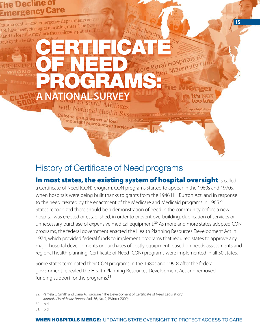## <span id="page-15-0"></span>**he Decline of** mergency Care Trauma centers and emergency departments across Trauma centers and emergency department.<br>J.S. have been closing at alarming rates. The people The property of the health-carring at a darming rates. The property of the detail of the artings that the bearings and to lose the most are those already put at a disadvant property of the artings are for the property of t tage by the health-OF NEED PROGRAMS: ger **A NATIONAL SURVEY**lť's too late with National Health Sys mymedrights@s Citizens group warns of loss "important reproductive services"

## History of Certificate of Need programs

## In most states, the existing system of hospital oversight is called

**15** 

a Certificate of Need (CON) program. CON programs started to appear in the 1960s and 1970s, when hospitals were being built thanks to grants from the 1946 Hill Burton Act, and in response to the need created by the enactment of the Medicare and Medicaid programs in 1965.<sup>29</sup> States recognized there should be a demonstration of need in the community before a new hospital was erected or established, in order to prevent overbuilding, duplication of services or unnecessary purchase of expensive medical equipment.<sup>30</sup> As more and more states adopted CON programs, the federal government enacted the Health Planning Resources Development Act in 1974, which provided federal funds to implement programs that required states to approve any major hospital developments or purchases of costly equipment, based on needs assessments and regional health planning. Certificate of Need (CON) programs were implemented in all 50 states.

Some states terminated their CON programs in the 1980s and 1990s after the federal government repealed the Health Planning Resources Development Act and removed funding support for the programs.<sup>31</sup>

31. Ibid.

<sup>29.</sup> Pamela C. Smith and Dana A. Forgione, "The Development of Certificate of Need Legislation," *Journal of Healthcare Finance*, Vol. 36, No. 2, (Winter 2009).

<sup>30.</sup> Ibid.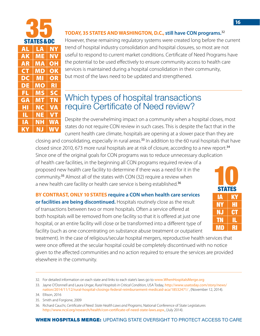<span id="page-16-0"></span>

| <b>STATES&amp;DG</b> |           |                          |  |  |  |  |  |
|----------------------|-----------|--------------------------|--|--|--|--|--|
| AL                   | <u>LĄ</u> | NΥ                       |  |  |  |  |  |
| <b>AK</b>            | ME        | <b>NV</b>                |  |  |  |  |  |
| AR                   | MÀ        | OH                       |  |  |  |  |  |
| <b>CT</b>            | MD        | $\overline{\textbf{OK}}$ |  |  |  |  |  |
| DC                   | <b>MI</b> | OR                       |  |  |  |  |  |
| DE                   | <b>MO</b> | <b>RI</b>                |  |  |  |  |  |
| FL                   | <b>MS</b> | <b>SC</b>                |  |  |  |  |  |
| GA                   | MŢ        | <b>TN</b>                |  |  |  |  |  |
| HI                   | <b>NC</b> | VA                       |  |  |  |  |  |
| IL                   | <b>NE</b> | <b>VT</b>                |  |  |  |  |  |
| IΑ                   | NΗ        | WA                       |  |  |  |  |  |
| KY                   | NJ        | WV                       |  |  |  |  |  |

#### **TODAY, 35 STATES AND WASHINGTON, D.C., still have CON programs.**<sup>32</sup>

However, these remaining regulatory systems were created long before the current trend of hospital industry consolidation and hospital closures, so most are not useful to respond to current market conditions. Certificate of Need Programs have the potential to be used effectively to ensure community access to health care services is maintained during a hospital consolidation in their community, but most of the laws need to be updated and strengthened.

## Which types of hospital transactions require Certificate of Need review?

Despite the overwhelming impact on a community when a hospital closes, most states do not require CON review in such cases. This is despite the fact that in the current health care climate, hospitals are opening at a slower pace than they are

closing and consolidating, especially in rural areas.<sup>33</sup> In addition to the 60 rural hospitals that have closed since 2010, 673 more rural hospitals are at risk of closure, according to a new report.<sup>34</sup> Since one of the original goals for CON programs was to reduce unnecessary duplication of health care facilities, in the beginning all CON programs required review of a proposed new health care facility to determine if there was a need for it in the community.<sup>35</sup> Almost all of the states with CON (32) require a review when a new health care facility or health care service is being established.<sup>36</sup>

**BY CONTRAST, ONLY 10 STATES require a CON when health care services or facilities are being discontinued.** Hospitals routinely close as the result of transactions between two or more hospitals. Often a service offered at both hospitals will be removed from one facility so that it is offered at just one hospital, or an entire facility will close or be transformed into a different type of facility (such as one concentrating on substance abuse treatment or outpatient

 $\mathbf{I}$ NY HI NJ CT TN IL **MD** 10 STATES

treatment). In the case of religious/secular hospital mergers, reproductive health services that were once offered at the secular hospital could be completely discontinued with no notice given to the affected communities and no action required to ensure the services are provided elsewhere in the community.

35. Smith and Forgione, 2009

<sup>32.</sup> For detailed information on each state and links to each state's laws go to [www.WhenHospitalsMerge.org](http://www.WhenHospitalsMerge.org)

<sup>33.</sup> Jayne O'Donnell and Laura Ungar, *Rural Hospitals in Critical Condition*, USA Today, [http://www.usatoday.com/story/news/](http://www.usatoday.com/story/news/nation/2014/11/12/rural-hospital-closings-federal-reimbursement-medicaid-aca/18532471/) [nation/2014/11/12/rural-hospital-closings-federal-reimbursement-medicaid-aca/18532471/](http://www.usatoday.com/story/news/nation/2014/11/12/rural-hospital-closings-federal-reimbursement-medicaid-aca/18532471/) , (November 12, 2014).

<sup>34.</sup> Ellison, 2016

<sup>36.</sup> Richard Cauchi, *Certificate of Need: State Health Laws and Programs*, National Conference of State Legislatures <http://www.ncsl.org/research/health/con-certificate-of-need-state-laws.aspx>., (July 2014).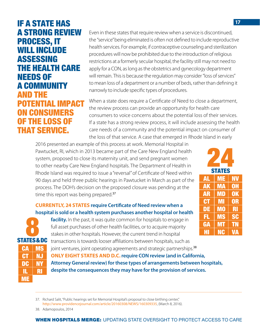IF A STATE HAS A STRONG REVIEW PROCESS, IT WILL INCLUDE ASSESSING THE HEALTH CARE NEEDS OF A COMMUNITY AND THE POTENTIAL IMPACT ON CONSUMERS OF THE LOSS OF THAT SERVICE.

Even in these states that require review when a service is discontinued, the "service" being eliminated is often not defined to include reproductive health services. For example, if contraceptive counseling and sterilization procedures will now be prohibited due to the introduction of religious restrictions at a formerly secular hospital, the facility still may not need to apply for a CON, as long as the obstetrics and gynecology department will remain. This is because the regulation may consider "loss of services" to mean loss of a department or a number of beds, rather than defining it narrowly to include specific types of procedures.

When a state does require a Certificate of Need to close a department, the review process can provide an opportunity for health care consumers to voice concerns about the potential loss of their services. If a state has a strong review process, it will include assessing the health care needs of a community and the potential impact on consumer of the loss of that service. A case that emerged in Rhode Island in early

2016 presented an example of this process at work. Memorial Hospital in Pawtucket, RI, which in 2013 became part of the Care New England health system, proposed to close its maternity unit, and send pregnant women to other nearby Care New England hospitals. The Department of Health in Rhode Island was required to issue a "reversal" of Certificate of Need within 90 days and held three public hearings in Pawtucket in March as part of the process. The DOH's decision on the proposed closure was pending at the time this report was being prepared.<sup>37</sup>

#### **CURRENTLY, 24 STATES require Certificate of Need review when a hospital is sold or a health system purchases another hospital or health**



**facility.** In the past, it was quite common for hospitals to engage in full asset purchases of other health facilities, or to acquire majority stakes in other hospitals. However, the current trend in hospital

transactions is towards looser affiliations between hospitals, such as joint ventures, joint operating agreements and strategic partnerships.<sup>38</sup> **ONLY EIGHT STATES AND D.C. require CON review (and in California, Attorney General review) for these types of arrangements between hospitals, despite the consequences they may have for the provision of services.** 



37. Richard Salit, "Public hearings set for Memorial Hospital's proposal to close birthing center," <http://www.providencejournal.com/article/20160308/NEWS/160309335>, (March 8, 2016).

38. Adamopoulos, 2014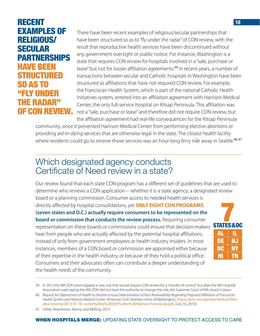## <span id="page-18-0"></span>RECENT EXAMPLES OF RELIGIOUS/ SECULAR PARTNERSHIPS HAVE BEEN STRUCTURED SO AS T "FLY UNDER THE RADAR" OF CON REVIEW.

There have been recent examples of religious/secular partnerships that have been structured so as to "fly under the radar" of CON review, with the result that reproductive health services have been discontinued without any government oversight or public notice. For instance, Washington is a state that requires CON review for hospitals involved in a "sale, purchase or lease" but not for looser affiliation agreements.<sup>39</sup> In recent years, a number of transactions between secular and Catholic hospitals in Washington have been structured as affiliations that have not required CON review. For example, the Franciscan Health System, which is part of the national Catholic Health Initiatives system, entered into an affiliation agreement with Harrison Medical Center, the only full-service hospital on Kitsap Peninsula. This affiliation was not a "sale, purchase or lease" and therefore did not require CON review, but the affiliation agreement had real-life consequences for the Kitsap Peninsula

community, since it prevented Harrison Medical Center from performing elective abortions or providing aid-in-dying services that are otherwise legal in the state. The closest health facility where residents could go to receive those services was an hour-long ferry ride away in Seattle.<sup>40,41</sup>

## Which designated agency conducts Certificate of Need review in a state?

Our review found that each state CON program has a different set of guidelines that are used to determine who reviews a CON application -- whether it is a state agency, a designated review board or a planning commission. Consumer access to needed health services is directly affected by hospital consolidations, yet **ONLY EIGHT CON PROGRAMS (seven states and D.C.) actually require consumers to be represented on the board or commission that conducts the review process.** Requiring consumer representation on these boards or commissions could ensure that decision-makers hear from people who are actually affected by the potential hospital affiliations, instead of only from government employees or health industry insiders. In most instances, members of a CON board or commission are appointed either because of their expertise in the health industry, or because of they hold a political office. Consumers and their advocates often can contribute a deeper understanding of the health needs of the community. AL IL DE | NJ DC | NY HI TN **STATES&DC** 

<sup>39.</sup> In 2013 the WA DOH promulgated a new rule that would require CON review for a "transfer of control" but after the WA Hospital

Association sued saying the WA DOH did not have the authority to change the rule, the Supreme Court of WA struck it down. 40. *Request for Department of Health to Decline to Issue Determination of Non-Reviewability Regarding Proposed Affiliation of Franciscan Health System and Harrison Medical Center*, American Civil Liberties Union of Washington, [https://aclu-wa.org/sites/default/files/](https://aclu-wa.org/sites/default/files/attachments/2013-07-16--Letter%20to%20DOH%20re%20Harrison-Franciscan.pdf) [attachments/2013](https://aclu-wa.org/sites/default/files/attachments/2013-07-16--Letter%20to%20DOH%20re%20Harrison-Franciscan.pdf)-07-16--Letter%20to%20DOH%20re%20Harrison-Franciscan.pdf, (July 16, 2013).

<sup>41.</sup> Uttley, Reynertson, Kenny, and Melling, 2013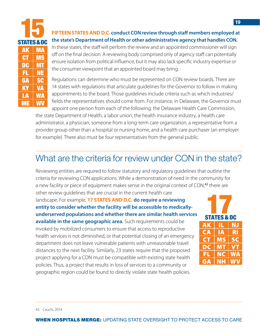<span id="page-19-0"></span>

| <b>STATES &amp; DC</b> |           |   |
|------------------------|-----------|---|
| <u>ak</u>              | <b>MA</b> |   |
| <b>CT</b>              | <b>MS</b> |   |
| DĊ                     | <b>MT</b> |   |
| FL                     | NE        |   |
| <b>GA</b>              | <b>SC</b> |   |
| <b>KY</b>              | <b>VA</b> |   |
|                        | <b>WA</b> |   |
| ME                     | WV        | İ |

#### **FIFTEEN STATES AND D.C. conduct CON review through staff members employed at the state's Department of Health or other administrative agency that handles CON.**

In these states, the staff will perform the review and an appointed commissioner will sign off on the final decision. A reviewing body comprised only of agency staff can potentially ensure isolation from political influence, but it may also lack specific industry expertise or the consumer viewpoint that an appointed board may bring.

Regulations can determine who must be represented on CON review boards. There are 14 states with regulations that articulate guidelines for the Governor to follow in making appointments to the board. Those guidelines include criteria such as which industries/ fields the representatives should come from. For instance, in Delaware, the Governor must appoint one person from each of the following: the Delaware Health Care Commission,

the state Department of Health, a labor union, the health insurance industry, a health care administrator, a physician, someone from a long-term care organization, a representative from a provider group other than a hospital or nursing home, and a health care purchaser (an employer for example). There also must be four representatives from the general public.

## What are the criteria for review under CON in the state?

Reviewing entities are required to follow statutory and regulatory guidelines that outline the criteria for reviewing CON applications. While a demonstration of need in the community for a new facility or piece of equipment makes sense in the original context of CON,<sup>42</sup> there are other review guidelines that are crucial in the current health care

landscape. For example, **17 STATES AND D.C. do require a reviewing entity to consider whether the facility will be accessible to medicallyunderserved populations and whether there are similar health services** 

**available in the same geographic area.** Such requirements could be invoked by mobilized consumers to ensure that access to reproductive health services is not diminished, or that potential closing of an emergency department does not leave vulnerable patients with unreasonable travel distances to the next facility. Similarly, 23 states require that the proposed project applying for a CON must be compatible with existing state health policies. Thus, a project that results in loss of services to a community or geographic region could be found to directly violate state health policies.



42. Cauchi, 2014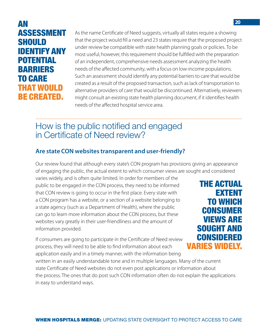## <span id="page-20-0"></span>AN ASSESSMENT SHOULD IDENTIFY ANY POTENTIAL BARRIERS TO CARE THAT WOULD BE CREATED.

As the name Certificate of Need suggests, virtually all states require a showing that the project would fill a need and 23 states require that the proposed project under review be compatible with state health planning goals or policies. To be most useful, however, this requirement should be fulfilled with the preparation of an independent, comprehensive needs assessment analyzing the health needs of the affected community, with a focus on low-income populations. Such an assessment should identify any potential barriers to care that would be created as a result of the proposed transaction, such as lack of transportation to alternative providers of care that would be discontinued. Alternatively, reviewers might consult an existing state health planning document, if it identifies health needs of the affected hospital service area.

## How is the public notified and engaged in Certificate of Need review?

### **Are state CON websites transparent and user-friendly?**

Our review found that although every state's CON program has provisions giving an appearance of engaging the public, the actual extent to which consumer views are sought and considered

varies widely, and is often quite limited. In order for members of the public to be engaged in the CON process, they need to be informed that CON review is going to occur in the first place. Every state with a CON program has a website, or a section of a website belonging to a state agency (such as a Department of Health), where the public can go to learn more information about the CON process, but these websites vary greatly in their user-friendliness and the amount of information provided.

If consumers are going to participate in the Certificate of Need review process, they will need to be able to find information about each application easily and in a timely manner, with the information being written in an easily understandable tone and in multiple languages. Many of the current state Certificate of Need websites do not even post applications or information about

the process. The ones that do post such CON information often do not explain the applications in easy to understand ways.

THE ACTUAL EXTENT TO WHICH **CONSUMER** VIEWS ARE SOUGHT AND **CONSIDERED** VARIES WIDELY.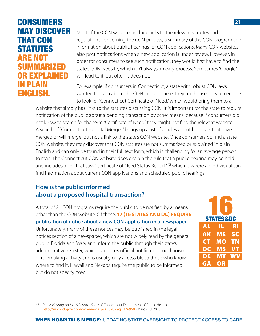## **CONSUMERS** MAY DISCOVER THAT CON STATUTES ARE NOT SUMMARIZED **FXPI AINED** IN PLAIN ENGLISH.

Most of the CON websites include links to the relevant statutes and regulations concerning the CON process, a summary of the CON program and information about public hearings for CON applications. Many CON websites also post notifications when a new application is under review. However, in order for consumers to see such notification, they would first have to find the state's CON website, which isn't always an easy process. Sometimes "Google" will lead to it, but often it does not.

For example, if consumers in Connecticut, a state with robust CON laws, wanted to learn about the CON process there, they might use a search engine to look for "Connecticut Certificate of Need," which would bring them to a

website that simply has links to the statutes discussing CON. It is important for the state to require notification of the public about a pending transaction by other means, because if consumers did not know to search for the term "Certificate of Need," they might not find the relevant website. A search of "Connecticut Hospital Merger" brings up a list of articles about hospitals that have merged or will merge, but not a link to the state's CON website. Once consumers do find a state CON website, they may discover that CON statutes are not summarized or explained in plain English and can only be found in their full text form, which is challenging for an average person to read. The Connecticut CON website does explain the rule that a public hearing may be held and includes a link that says "Certificate of Need Status Report,"<sup>43</sup> which is where an individual can find information about current CON applications and scheduled public hearings.

## **How is the public informed about a proposed hospital transaction?**

A total of 21 CON programs require the public to be notified by a means other than the CON website. Of these, **17 (16 STATES AND DC) REQUIRE publication of notice about a new CON application in a newspaper.**  Unfortunately, many of these notices may be published in the legal notices section of a newspaper, which are not widely read by the general public. Florida and Maryland inform the public through their state's administrative register, which is a state's official notification mechanism of rulemaking activity and is usually only accessible to those who know where to find it. Hawaii and Nevada require the public to be informed, but do not specify how.

43. *Public Hearing Notices & Reports*, State of Connecticut Department of Public Health, <http://www.ct.gov/dph/cwp/view.asp?a=3902&q=276950>, (March 28, 2016).

AL IL RI AK ME SC CT MO TN DC | MS | VT DE | MT | WV GA OR STATES&DC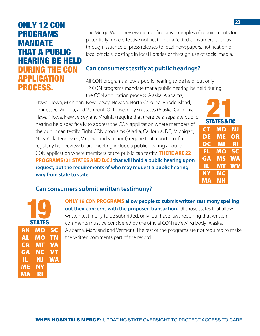## ONLY 12 CON PROGRAMS MANDATE THAT A PUBLIC HEARING BE HELD DURING THE CON **APPLICATION** PROCESS.

The MergerWatch review did not find any examples of requirements for potentially more effective notification of affected consumers, such as through issuance of press releases to local newspapers, notification of local officials, postings in local libraries or through use of social media.

#### **Can consumers testify at public hearings?**

All CON programs allow a public hearing to be held, but only 12 CON programs mandate that a public hearing be held during the CON application process: Alaska, Alabama,

Hawaii, Iowa, Michigan, New Jersey, Nevada, North Carolina, Rhode Island, Tennessee, Virginia, and Vermont. Of those, only six states (Alaska, California, Hawaii, Iowa, New Jersey, and Virginia) require that there be a separate public hearing held specifically to address the CON application where members of the public can testify. Eight CON programs (Alaska, California, DC, Michigan, New York, Tennessee, Virginia, and Vermont) require that a portion of a regularly held review board meeting include a public hearing about a CON application where members of the public can testify. **THERE ARE 22 PROGRAMS (21 STATES AND D.C.) that will hold a public hearing upon request, but the requirements of who may request a public hearing vary from state to state.**

| ۳<br><b>STATES &amp; DC</b> |           |    |  |  |  |  |  |
|-----------------------------|-----------|----|--|--|--|--|--|
| <b>CT</b>                   | MD        | ΝJ |  |  |  |  |  |
| DE                          | ME        | OR |  |  |  |  |  |
| DC                          | MI        | RI |  |  |  |  |  |
| FL                          | <b>MO</b> | SC |  |  |  |  |  |
| GА                          | MS        | WA |  |  |  |  |  |
| Щ.                          | MŢ        | WV |  |  |  |  |  |
| ΚY                          | <b>NC</b> |    |  |  |  |  |  |
| МA                          | NΗ        |    |  |  |  |  |  |

#### **Can consumers submit written testimony?**

|    | L<br><b>STATES</b> |           |
|----|--------------------|-----------|
| AK | <b>MD</b>          | SC        |
| AL | <b>MO</b>          | ŢΝ        |
| CA | <b>MT</b>          | VĄ        |
| GA | NC                 | <b>VT</b> |
| IL | ΝJ                 | WA        |
| ME | NΥ                 |           |
| MA | Ŕl                 |           |

**ONLY 19 CON PROGRAMS allow people to submit written testimony spelling out their concerns with the proposed transaction.** Of those states that allow written testimony to be submitted, only four have laws requiring that written comments must be considered by the official CON reviewing body: Alaska, Alabama, Maryland and Vermont. The rest of the programs are not required to make the written comments part of the record.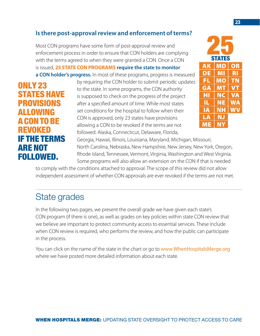## <span id="page-23-0"></span>**Is there post-approval review and enforcement of terms?**

Most CON programs have some form of post-approval review and enforcement process in order to ensure that CON holders are complying with the terms agreed to when they were granted a CON. Once a CON is issued, **25 STATE CON PROGRAMS require the state to monitor a CON holder's progress.** In most of these programs, progress is measured

ONLY 23 STATES HAVE **PROVISIONS** ALLOWING A CON TO BE REVOKED IF THE TERMS ARE NOT FOLLOWED.

by requiring the CON holder to submit periodic updates to the state. In some programs, the CON authority is supposed to check on the progress of the project after a specified amount of time. While most states set conditions for the hospital to follow when their CON is approved, only 23 states have provisions allowing a CON to be revoked if the terms are not followed: Alaska, Connecticut, Delaware, Florida,

AK MD OR DE MI RI FL MO TN GA MT VT HI NC VA IL NE WA IA NH WV LA NJ ME NY 25 STATES

Georgia, Hawaii, Illinois, Louisiana, Maryland, Michigan, Missouri, North Carolina, Nebraska, New Hampshire, New Jersey, New York, Oregon, Rhode Island, Tennessee, Vermont, Virginia, Washington and West Virginia. Some programs will also allow an extension on the CON if that is needed

to comply with the conditions attached to approval. The scope of this review did not allow independent assessment of whether CON approvals are ever revoked if the terms are not met.

## State grades

In the following two pages, we present the overall grade we have given each state's CON program (if there is one), as well as grades on key policies within state CON review that we believe are important to protect community access to essential services. These include when CON review is required, who performs the review, and how the public can participate in the process.

You can click on the name of the state in the chart or go to [www.WhenHospitalsMerge.org](http://www.WhenHospitalsMerge.org) where we have posted more detailed information about each state.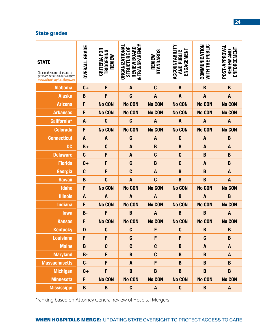#### **State grades**

| <b>STATE</b><br>Click on the name of a state to<br>get more details on our website:<br>www.WhenHospitalsMerge.org | <b>OVERALL GRADE</b> | CRITERIA FOR<br><b>TRIGGERING</b><br><b>REVIEW</b> | & TRANSPARENCY<br>ORGANIZATIONAL<br>STRUCTURE OF<br>REVIEW BOARD | STANDARDS<br>REVIEW | ACCOUNTABILITY<br>ENGAGEMENT<br><b>AND PUBLIC</b> | WITH THE PUBLIC<br>COMMUNICATION | POST-APPROVAL<br><b>ENFORCEMENT</b><br><b>REVIEW AND</b> |
|-------------------------------------------------------------------------------------------------------------------|----------------------|----------------------------------------------------|------------------------------------------------------------------|---------------------|---------------------------------------------------|----------------------------------|----------------------------------------------------------|
| <b>Alabama</b>                                                                                                    | $C +$                | F                                                  | $\boldsymbol{A}$                                                 | $\mathbf{C}$        | B                                                 | B                                | B                                                        |
| <b>Alaska</b>                                                                                                     | B                    | F                                                  | C                                                                | $\boldsymbol{A}$    | $\overline{A}$                                    | $\boldsymbol{A}$                 | $\boldsymbol{A}$                                         |
| <b>Arizona</b>                                                                                                    | F                    | <b>No CON</b>                                      | <b>No CON</b>                                                    | <b>No CON</b>       | <b>No CON</b>                                     | <b>No CON</b>                    | <b>No CON</b>                                            |
| <b>Arkansas</b>                                                                                                   | F                    | <b>No CON</b>                                      | <b>No CON</b>                                                    | <b>No CON</b>       | <b>No CON</b>                                     | <b>No CON</b>                    | <b>No CON</b>                                            |
| California*                                                                                                       | $A -$                | $\mathbf{C}$                                       | $\mathbf{C}$                                                     | $\boldsymbol{A}$    | $\boldsymbol{A}$                                  | $\boldsymbol{A}$                 | $\boldsymbol{A}$                                         |
| <b>Colorado</b>                                                                                                   | F                    | <b>No CON</b>                                      | <b>No CON</b>                                                    | <b>No CON</b>       | <b>No CON</b>                                     | <b>No CON</b>                    | <b>No CON</b>                                            |
| <b>Connecticut</b>                                                                                                | $\boldsymbol{A}$     | $\boldsymbol{A}$                                   | C                                                                | $\boldsymbol{A}$    | $\mathbf{C}$                                      | $\boldsymbol{A}$                 | $\mathbf B$                                              |
| <b>DC</b>                                                                                                         | $B+$                 | $\mathbf{C}$                                       | $\boldsymbol{A}$                                                 | $\mathbf B$         | B                                                 | $\boldsymbol{A}$                 | A                                                        |
| <b>Delaware</b>                                                                                                   | $\mathbf{C}$         | F                                                  | $\mathbf{A}$                                                     | C                   | $\mathbf{C}$                                      | B                                | B                                                        |
| <b>Florida</b>                                                                                                    | $C +$                | F                                                  | C                                                                | $\mathbf B$         | $\mathbf{C}$                                      | $\boldsymbol{A}$                 | B                                                        |
| Georgia                                                                                                           | $\mathbf{C}$         | F                                                  | C                                                                | $\boldsymbol{A}$    | B                                                 | B                                | $\boldsymbol{A}$                                         |
| <b>Hawaii</b>                                                                                                     | B                    | $\mathbf{C}$                                       | $\boldsymbol{A}$                                                 | $\mathbf{C}$        | $\bf{B}$                                          | B                                | $\boldsymbol{A}$                                         |
| <b>Idaho</b>                                                                                                      | F                    | <b>No CON</b>                                      | <b>No CON</b>                                                    | <b>No CON</b>       | <b>No CON</b>                                     | <b>No CON</b>                    | <b>No CON</b>                                            |
| <b>Illinois</b>                                                                                                   | $\boldsymbol{A}$     | A                                                  | $\boldsymbol{A}$                                                 | $\boldsymbol{A}$    | B                                                 | $\overline{A}$                   | $\mathbf B$                                              |
| <b>Indiana</b>                                                                                                    | F                    | <b>No CON</b>                                      | <b>No CON</b>                                                    | <b>No CON</b>       | <b>No CON</b>                                     | <b>No CON</b>                    | <b>No CON</b>                                            |
| <b>lowa</b>                                                                                                       | $B -$                | F                                                  | B                                                                | $\boldsymbol{A}$    | B                                                 | B                                | A                                                        |
| <b>Kansas</b>                                                                                                     | F                    | <b>No CON</b>                                      | <b>No CON</b>                                                    | <b>No CON</b>       | <b>No CON</b>                                     | <b>No CON</b>                    | <b>No CON</b>                                            |
| <b>Kentucky</b>                                                                                                   | D                    | C                                                  | C                                                                | F                   | $\mathbf{C}$                                      | B                                | $\bf{B}$                                                 |
| <b>Louisiana</b>                                                                                                  | F                    | F                                                  | $\mathbf{C}$                                                     | F                   | F                                                 | $\mathbf{C}$                     | $\mathbf B$                                              |
| <b>Maine</b>                                                                                                      | B                    | $\mathbf{C}$                                       | C                                                                | $\mathbf{C}$        | $\mathbf B$                                       | $\mathbf{A}$                     | A                                                        |
| <b>Maryland</b>                                                                                                   | $B -$                | F                                                  | $\mathbf B$                                                      | $\mathbf{C}$        | $\mathbf B$                                       | B                                | $\mathbf{A}$                                             |
| <b>Massachusetts</b>                                                                                              | $C -$                | F                                                  | A                                                                | F                   | $\mathbf B$                                       | B                                | $\mathbf B$                                              |
| <b>Michigan</b>                                                                                                   | $C +$                | F                                                  | B                                                                | B                   | B                                                 | B                                | B                                                        |
| <b>Minnesota</b>                                                                                                  | F                    | <b>No CON</b>                                      | <b>No CON</b>                                                    | <b>No CON</b>       | <b>No CON</b>                                     | <b>No CON</b>                    | <b>No CON</b>                                            |
| <b>Mississippi</b>                                                                                                | B                    | B                                                  | C                                                                | A                   | $\mathbf{C}$                                      | B                                | A                                                        |

\*ranking based on Attorney General review of Hospital Mergers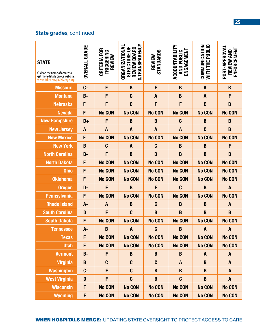## **State grades**, continued

| <b>STATE</b><br>Click on the name of a state to<br>get more details on our website:<br>www.WhenHospitalsMerge.org | <b>OVERALL GRADE</b> | CRITERIA FOR<br>TRIGGERING<br>REVIEW | & TRANSPARENCY<br><b>ORGANIZATIONA</b><br>STRUCTURE OF<br>REVIEW BOARD | STANDARDS<br>REVIEW | <b>ACCOUNTABILITY</b><br>ENGAGEMENT<br><b>AND PUBLIC</b> | COMMUNICATION<br><b>WITH THE PUBLIC</b> | POST-APPROVAL<br>ENFORCEMENT<br><b>REVIEW AND</b> |
|-------------------------------------------------------------------------------------------------------------------|----------------------|--------------------------------------|------------------------------------------------------------------------|---------------------|----------------------------------------------------------|-----------------------------------------|---------------------------------------------------|
| <b>Missouri</b>                                                                                                   | $C -$                | F                                    | B                                                                      | F                   | B                                                        | $\boldsymbol{A}$                        | B                                                 |
| <b>Montana</b>                                                                                                    | $B -$                | F                                    | $\mathbf{C}$                                                           | $\overline{A}$      | B                                                        | $\boldsymbol{A}$                        | F                                                 |
| <b>Nebraska</b>                                                                                                   | F                    | F                                    | $\mathbf{C}$                                                           | F                   | F                                                        | $\mathbf{C}$                            | $\mathbf B$                                       |
| <b>Nevada</b>                                                                                                     | F                    | <b>No CON</b>                        | <b>No CON</b>                                                          | <b>No CON</b>       | <b>No CON</b>                                            | <b>No CON</b>                           | <b>No CON</b>                                     |
| <b>New Hampshire</b>                                                                                              | $D+$                 | F                                    | B                                                                      | $\bf{B}$            | C                                                        | $\mathbf B$                             | $\mathbf B$                                       |
| <b>New Jersey</b>                                                                                                 | A                    | $\boldsymbol{A}$                     | $\boldsymbol{A}$                                                       | $\boldsymbol{A}$    | $\boldsymbol{A}$                                         | $\mathbf{C}$                            | $\mathbf B$                                       |
| <b>New Mexico</b>                                                                                                 | F                    | <b>No CON</b>                        | <b>No CON</b>                                                          | <b>No CON</b>       | <b>No CON</b>                                            | <b>No CON</b>                           | <b>No CON</b>                                     |
| <b>New York</b>                                                                                                   | B                    | $\mathbf{C}$                         | $\overline{A}$                                                         | C                   | $\bf{B}$                                                 | B                                       | F                                                 |
| <b>North Carolina</b>                                                                                             | $B -$                | F                                    | B                                                                      | $\overline{B}$      | $\bf{B}$                                                 | B                                       | $\mathbf B$                                       |
| <b>North Dakota</b>                                                                                               | F                    | <b>No CON</b>                        | <b>No CON</b>                                                          | <b>No CON</b>       | <b>No CON</b>                                            | <b>No CON</b>                           | <b>No CON</b>                                     |
| <b>Ohio</b>                                                                                                       | F                    | <b>No CON</b>                        | <b>No CON</b>                                                          | <b>No CON</b>       | <b>No CON</b>                                            | <b>No CON</b>                           | <b>No CON</b>                                     |
| <b>Oklahoma</b>                                                                                                   | F                    | <b>No CON</b>                        | <b>No CON</b>                                                          | <b>No CON</b>       | <b>No CON</b>                                            | <b>No CON</b>                           | <b>No CON</b>                                     |
| <b>Oregon</b>                                                                                                     | D-                   | F                                    | B                                                                      | F                   | C                                                        | B                                       | $\overline{A}$                                    |
| <b>Pennsylvania</b>                                                                                               | F                    | <b>No CON</b>                        | <b>No CON</b>                                                          | <b>No CON</b>       | <b>No CON</b>                                            | <b>No CON</b>                           | <b>No CON</b>                                     |
| <b>Rhode Island</b>                                                                                               | A-                   | $\boldsymbol{A}$                     | B                                                                      | $\mathbf{C}$        | B                                                        | B                                       | $\boldsymbol{A}$                                  |
| <b>South Carolina</b>                                                                                             | D                    | F                                    | C                                                                      | B                   | B                                                        | B                                       | $\mathbf B$                                       |
| <b>South Dakota</b>                                                                                               | F                    | <b>No CON</b>                        | <b>No CON</b>                                                          | <b>No CON</b>       | <b>No CON</b>                                            | <b>No CON</b>                           | <b>No CON</b>                                     |
| <b>Tennessee</b>                                                                                                  | A-                   | B                                    | $\boldsymbol{A}$                                                       | $\mathbf{C}$        | $\mathbf B$                                              | $\boldsymbol{A}$                        | $\boldsymbol{A}$                                  |
| <b>Texas</b>                                                                                                      | F                    | <b>No CON</b>                        | <b>No CON</b>                                                          | <b>No CON</b>       | <b>No CON</b>                                            | <b>No CON</b>                           | <b>No CON</b>                                     |
| <b>Utah</b>                                                                                                       | F                    | <b>No CON</b>                        | <b>No CON</b>                                                          | <b>No CON</b>       | <b>No CON</b>                                            | <b>No CON</b>                           | <b>No CON</b>                                     |
| <b>Vermont</b>                                                                                                    | $B -$                | F                                    | B                                                                      | B                   | B                                                        | $\mathbf{A}$                            | $\mathbf{A}$                                      |
| <b>Virginia</b>                                                                                                   | B                    | C                                    | C                                                                      | C                   | $\mathbf{A}$                                             | B                                       | A                                                 |
| <b>Washington</b>                                                                                                 | $C -$                | F                                    | $\mathbf{C}$                                                           | B                   | B                                                        | B                                       | A                                                 |
| <b>West Virginia</b>                                                                                              | D                    | F                                    | $\mathbf{C}$                                                           | $\mathbf B$         | C                                                        | $\mathbf B$                             | $\mathbf{A}$                                      |
| <b>Wisconsin</b>                                                                                                  | F                    | <b>No CON</b>                        | <b>No CON</b>                                                          | <b>No CON</b>       | <b>No CON</b>                                            | <b>No CON</b>                           | <b>No CON</b>                                     |
| <b>Wyoming</b>                                                                                                    | F                    | <b>No CON</b>                        | <b>No CON</b>                                                          | <b>No CON</b>       | <b>No CON</b>                                            | <b>No CON</b>                           | <b>No CON</b>                                     |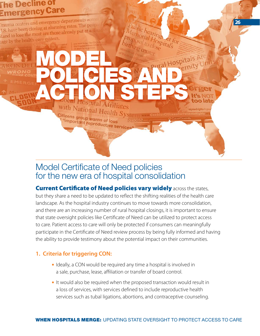## <span id="page-26-0"></span>he Decline of mergency Care

Trauma centers and emergency departments across Trauma centers and emergency department.<br>J.S. have been closing at alarming rates. The peop J.S. have been closing at alarming race.<br>stand to lose the most are those already put at a ditand to lose the health-care system.

MODEL

Citizens group warns of loss

"important reproductive services"

## Model Certificate of Need policies for the new era of hospital consolidation

POLICIES AND

ublic hearings

*Aemorial Hospital's*<br>oposal to Spital's<br>thing car close

et for

mymedrights@

**26** 

ACTION STEPS

**Current Certificate of Need policies vary widely across the states,** but they share a need to be updated to reflect the shifting realities of the health care landscape. As the hospital industry continues to move towards more consolidation, and there are an increasing number of rural hospital closings, it is important to ensure that state oversight policies like Certificate of Need can be utilized to protect access to care. Patient access to care will only be protected if consumers can meaningfully participate in the Certificate of Need review process by being fully informed and having the ability to provide testimony about the potential impact on their communities.

### **1. Criteria for triggering CON:**

- Ideally, a CON would be required any time a hospital is involved in a sale, purchase, lease, affiliation or transfer of board control.
- It would also be required when the proposed transaction would result in a loss of services, with services defined to include reproductive health services such as tubal ligations, abortions, and contraceptive counseling.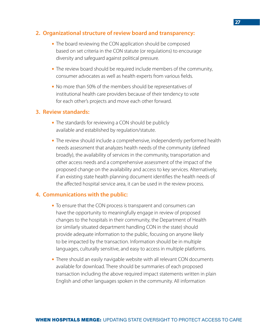#### **2. Organizational structure of review board and transparency:**

- The board reviewing the CON application should be composed based on set criteria in the CON statute (or regulations) to encourage diversity and safeguard against political pressure.
- The review board should be required include members of the community, consumer advocates as well as health experts from various fields.
- No more than 50% of the members should be representatives of institutional health care providers because of their tendency to vote for each other's projects and move each other forward.

#### **3. Review standards:**

- The standards for reviewing a CON should be publicly available and established by regulation/statute.
- The review should include a comprehensive, independently performed health needs assessment that analyzes health needs of the community (defined broadly), the availability of services in the community, transportation and other access needs and a comprehensive assessment of the impact of the proposed change on the availability and access to key services. Alternatively, if an existing state health planning document identifies the health needs of the affected hospital service area, it can be used in the review process.

#### **4. Communications with the public:**

- To ensure that the CON process is transparent and consumers can have the opportunity to meaningfully engage in review of proposed changes to the hospitals in their community, the Department of Health (or similarly situated department handling CON in the state) should provide adequate information to the public, focusing on anyone likely to be impacted by the transaction. Information should be in multiple languages, culturally sensitive, and easy to access in multiple platforms.
- There should an easily navigable website with all relevant CON documents available for download. There should be summaries of each proposed transaction including the above required impact statements written in plain English and other languages spoken in the community. All information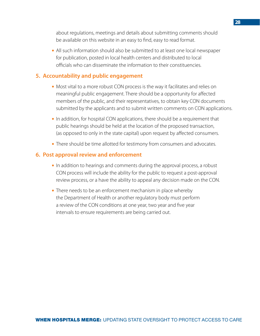about regulations, meetings and details about submitting comments should be available on this website in an easy to find, easy to read format.

• All such information should also be submitted to at least one local newspaper for publication, posted in local health centers and distributed to local officials who can disseminate the information to their constituencies.

#### **5. Accountability and public engagement**

- Most vital to a more robust CON process is the way it facilitates and relies on meaningful public engagement. There should be a opportunity for affected members of the public, and their representatives, to obtain key CON documents submitted by the applicants and to submit written comments on CON applications.
- In addition, for hospital CON applications, there should be a requirement that public hearings should be held at the location of the proposed transaction, (as opposed to only in the state capital) upon request by affected consumers.
- There should be time allotted for testimony from consumers and advocates.

#### **6. Post approval review and enforcement**

- In addition to hearings and comments during the approval process, a robust CON process will include the ability for the public to request a post-approval review process, or a have the ability to appeal any decision made on the CON.
- There needs to be an enforcement mechanism in place whereby the Department of Health or another regulatory body must perform a review of the CON conditions at one year, two year and five year intervals to ensure requirements are being carried out.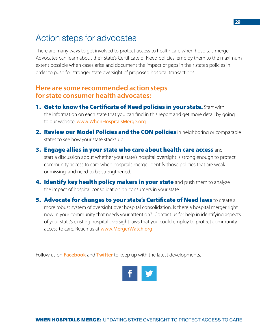## <span id="page-29-0"></span>Action steps for advocates

There are many ways to get involved to protect access to health care when hospitals merge. Advocates can learn about their state's Certificate of Need policies, employ them to the maximum extent possible when cases arise and document the impact of gaps in their state's policies in order to push for stronger state oversight of proposed hospital transactions.

### **Here are some recommended action steps for state consumer health advocates:**

- 1. Get to know the Certificate of Need policies in your state. Start with the information on each state that you can find in this report and get more detail by going to our website, [www.WhenHospitalsMerge.org](http://www.WhenHospitalsMerge.org)
- 2. Review our Model Policies and the CON policies in neighboring or comparable states to see how your state stacks up.
- **3. Engage allies in your state who care about health care access** and start a discussion about whether your state's hospital oversight is strong enough to protect community access to care when hospitals merge. Identify those policies that are weak or missing, and need to be strengthened.
- 4. Identify key health policy makers in your state and push them to analyze the impact of hospital consolidation on consumers in your state.
- **5. Advocate for changes to your state's Certificate of Need laws** to create a more robust system of oversight over hospital consolidation. Is there a hospital merger right now in your community that needs your attention? Contact us for help in identifying aspects of your state's existing hospital oversight laws that you could employ to protect community access to care. Reach us at [www.MergerWatch.org](http://www.MergerWatch.org)

Follow us on **[Facebook](https://www.facebook.com/MergerWatch-219711908043235/)** and **[Twitter](https://twitter.com/mergerwatch)** to keep up with the latest developments.

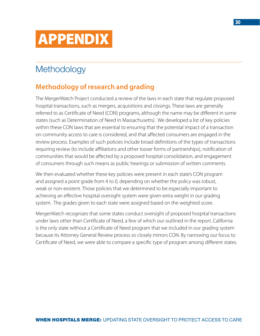<span id="page-30-0"></span>

## **Methodology**

## **Methodology of research and grading**

The MergerWatch Project conducted a review of the laws in each state that regulate proposed hospital transactions, such as mergers, acquisitions and closings. These laws are generally referred to as Certificate of Need (CON) programs, although the name may be different in some states (such as Determination of Need in Massachusetts). We developed a list of key policies within these CON laws that are essential to ensuring that the potential impact of a transaction on community access to care is considered, and that affected consumers are engaged in the review process. Examples of such policies include broad definitions of the types of transactions requiring review (to include affiliations and other looser forms of partnerships), notification of communities that would be affected by a proposed hospital consolidation, and engagement of consumers through such means as public hearings or submission of written comments.

We then evaluated whether these key policies were present in each state's CON program and assigned a point grade from 4 to 0, depending on whether the policy was robust, weak or non-existent. Those policies that we determined to be especially important to achieving an effective hospital oversight system were given extra weight in our grading system. The grades given to each state were assigned based on the weighted score.

MergerWatch recognizes that some states conduct oversight of proposed hospital transactions under laws other than Certificate of Need, a few of which our outlined in the report. California is the only state without a Certificate of Need program that we included in our grading system because its Attorney General Review process so closely mirrors CON. By narrowing our focus to Certificate of Need, we were able to compare a specific type of program among different states.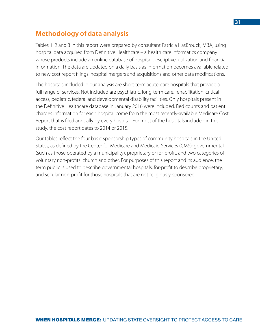## **Methodology of data analysis**

Tables 1, 2 and 3 in this report were prepared by consultant Patricia HasBrouck, MBA, using hospital data acquired from Definitive Healthcare – a health care informatics company whose products include an online database of hospital descriptive, utilization and financial information. The data are updated on a daily basis as information becomes available related to new cost report filings, hospital mergers and acquisitions and other data modifications.

The hospitals included in our analysis are short-term acute-care hospitals that provide a full range of services. Not included are psychiatric, long-term care, rehabilitation, critical access, pediatric, federal and developmental disability facilities. Only hospitals present in the Definitive Healthcare database in January 2016 were included. Bed counts and patient charges information for each hospital come from the most recently-available Medicare Cost Report that is filed annually by every hospital. For most of the hospitals included in this study, the cost report dates to 2014 or 2015.

Our tables reflect the four basic sponsorship types of community hospitals in the United States, as defined by the Center for Medicare and Medicaid Services (CMS): governmental (such as those operated by a municipality), proprietary or for-profit, and two categories of voluntary non-profits: church and other. For purposes of this report and its audience, the term public is used to describe governmental hospitals, for-profit to describe proprietary, and secular non-profit for those hospitals that are not religiously-sponsored.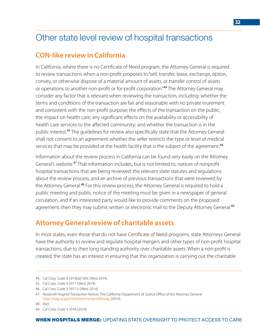## <span id="page-32-0"></span>Other state level review of hospital transactions

## **CON-like review in California**

In California, where there is no Certificate of Need program, the Attorney General is required to review transactions when a non-profit proposes to "sell, transfer, lease, exchange, option, convey, or otherwise dispose of a material amount of assets, or transfer control of assets or operations to another non-profit or for-profit corporation."<sup>44</sup> The Attorney General may consider any factor that is relevant when reviewing the transaction, including: whether the terms and conditions of the transaction are fair and reasonable with no private inurement and consistent with the non-profit purpose; the effects of the transaction on the public; the impact on health care; any significant effects on the availability or accessibility of health care services to the affected community; and whether the transaction is in the public interest.<sup>45</sup> The guidelines for review also specifically state that the Attorney General shall not consent to an agreement whether the seller restricts the type or level of medical services that may be provided at the health facility that is the subject of the agreement.<sup>46</sup>

Information about the review process in California can be found very easily on the Attorney General's website.<sup>47</sup> That information includes, but is not limited to, notices of nonprofit hospital transactions that are being reviewed, the relevant state statutes and regulations about the review process, and an archive of previous transactions that were reviewed by the Attorney General.<sup>48</sup> For this review process, the Attorney General is required to hold a public meeting and public notice of the meeting must be given in a newspaper of general circulation, and if an interested party would like to provide comments on the proposed agreement, then they may submit written or electronic mail to the Deputy Attorney General.<sup>49</sup>

## **Attorney General review of charitable assets**

In most states, even those that do not have Certificate of Need programs, state Attorneys General have the authority to review and regulate hospital mergers and other types of non-profit hospital transactions, due to their long standing authority over charitable assets. When a non-profit is created, the state has an interest in ensuring that the organization is carrying out the charitable

<sup>44.</sup> Cal Corp. Code § 5914(a)(1)(A) (West 2014).

<sup>45.</sup> Cal Corp. Code § 5917 (West 2014).

<sup>46.</sup> Cal Corp. Code § 5917.5 (West 2014).

<sup>47.</sup> *Nonprofit Hospital Transaction Notices*, The California Department of Justice Office of the Attorney General <http://oag.ca.gov/charities/nonprofithosp>, (2014).

<sup>48.</sup> Ibid.

<sup>49.</sup> Cal Corp. Code § 5916 (2014).